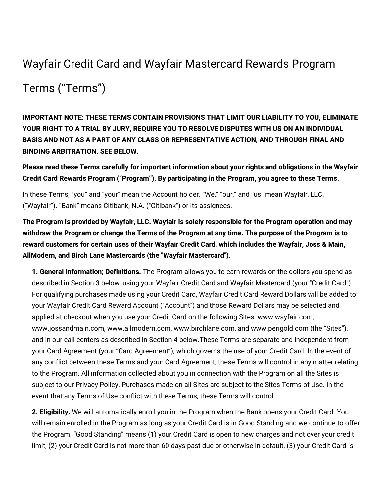## Wayfair Credit Card and Wayfair Mastercard Rewards Program

## Terms ("Terms")

**IMPORTANT NOTE: THESE TERMS CONTAIN PROVISIONS THAT LIMIT OUR LIABILITY TO YOU, ELIMINATE YOUR RIGHT TO A TRIAL BY JURY, REQUIRE YOU TO RESOLVE DISPUTES WITH US ON AN INDIVIDUAL BASIS AND NOT AS A PART OF ANY CLASS OR REPRESENTATIVE ACTION, AND THROUGH FINAL AND BINDING ARBITRATION. SEE BELOW.**

**Please read these Terms carefully for important information about your rights and obligations in the Wayfair Credit Card Rewards Program ("Program"). By participating in the Program, you agree to these Terms.**

In these Terms, "you" and "your" mean the Account holder. "We," "our," and "us" mean Wayfair, LLC. ("Wayfair"). "Bank" means Citibank, N.A. ("Citibank") or its assignees.

**The Program is provided by Wayfair, LLC. Wayfair is solely responsible for the Program operation and may** withdraw the Program or change the Terms of the Program at any time. The purpose of the Program is to **reward customers for certain uses of their Wayfair Credit Card, which includes the Wayfair, Joss & Main, AllModern, and Birch Lane Mastercards (the "Wayfair Mastercard").**

**1. General Information; Definitions.** The Program allows you to earn rewards on the dollars you spend as described in Section 3 below, using your Wayfair Credit Card and Wayfair Mastercard (your "Credit Card"). For qualifying purchases made using your Credit Card, Wayfair Credit Card Reward Dollars will be added to your Wayfair Credit Card Reward Account ("Account") and those Reward Dollars may be selected and applied at checkout when you use your Credit Card on the following Sites: www.wayfair.com, www.jossandmain.com, www.allmodern.com, www.birchlane.com, and www.perigold.com (the "Sites"), and in our call centers as described in Section 4 below.These Terms are separate and independent from your Card Agreement (your "Card Agreement"), which governs the use of your Credit Card. In the event of any conflict between these Terms and your Card Agreement, these Terms will control in any matter relating to the Program. All information collected about you in connection with the Program on all the Sites is subject to our [Privacy](https://terms.birchlane.io/en-US#birchlane-privacy) Policy. Purchases made on all Sites are subject to the Sites [Terms](https://terms.birchlane.io/en-US#birchlane-terms) of Use. In the event that any Terms of Use conflict with these Terms, these Terms will control.

**2. Eligibility.** We will automatically enroll you in the Program when the Bank opens your Credit Card. You will remain enrolled in the Program as long as your Credit Card is in Good Standing and we continue to offer the Program. "Good Standing" means (1) your Credit Card is open to new charges and not over your credit limit, (2) your Credit Card is not more than 60 days past due or otherwise in default, (3) your Credit Card is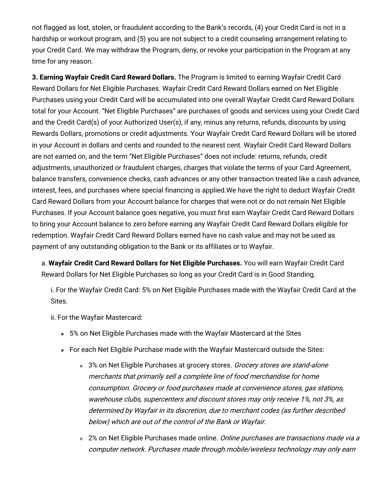not flagged as lost, stolen, or fraudulent according to the Bank's records, (4) your Credit Card is not in a hardship or workout program, and (5) you are not subject to a credit counseling arrangement relating to your Credit Card. We may withdraw the Program, deny, or revoke your participation in the Program at any time for any reason.

**3. Earning Wayfair Credit Card Reward Dollars.** The Program is limited to earning Wayfair Credit Card Reward Dollars for Net Eligible Purchases. Wayfair Credit Card Reward Dollars earned on Net Eligible Purchases using your Credit Card will be accumulated into one overall Wayfair Credit Card Reward Dollars total for your Account. "Net Eligible Purchases" are purchases of goods and services using your Credit Card and the Credit Card(s) of your Authorized User(s), if any, minus any returns, refunds, discounts by using Rewards Dollars, promotions or credit adjustments. Your Wayfair Credit Card Reward Dollars will be stored in your Account in dollars and cents and rounded to the nearest cent. Wayfair Credit Card Reward Dollars are not earned on, and the term "Net Eligible Purchases" does not include: returns, refunds, credit adjustments, unauthorized or fraudulent charges, charges that violate the terms of your Card Agreement, balance transfers, convenience checks, cash advances or any other transaction treated like a cash advance, interest, fees, and purchases where special financing is applied.We have the right to deduct Wayfair Credit Card Reward Dollars from your Account balance for charges that were not or do not remain Net Eligible Purchases. If your Account balance goes negative, you must first earn Wayfair Credit Card Reward Dollars to bring your Account balance to zero before earning any Wayfair Credit Card Reward Dollars eligible for redemption. Wayfair Credit Card Reward Dollars earned have no cash value and may not be used as payment of any outstanding obligation to the Bank or its affiliates or to Wayfair.

a. **Wayfair Credit Card Reward Dollars for Net Eligible Purchases.** You will earn Wayfair Credit Card Reward Dollars for Net Eligible Purchases so long as your Credit Card is in Good Standing.

i. For the Wayfair Credit Card: 5% on Net Eligible Purchases made with the Wayfair Credit Card at the Sites.

- ii. For the Wayfair Mastercard:
	- 5% on Net Eligible Purchases made with the Wayfair Mastercard at the Sites
	- For each Net Eligible Purchase made with the Wayfair Mastercard outside the Sites:
		- <sup>o</sup> 3% on Net Eligible Purchases at grocery stores. Grocery stores are stand-alone merchants that primarily sell <sup>a</sup> complete line of food merchandise for home consumption. Grocery or food purchases made at convenience stores, gas stations, warehouse clubs, supercenters and discount stores may only receive 1%, not 3%, as determined by Wayfair in its discretion, due to merchant codes (as further described below) which are out of the control of the Bank or Wayfair.
		- o 2% on Net Eligible Purchases made online. Online purchases are transactions made via a computer network. Purchases made through mobile/wireless technology may only earn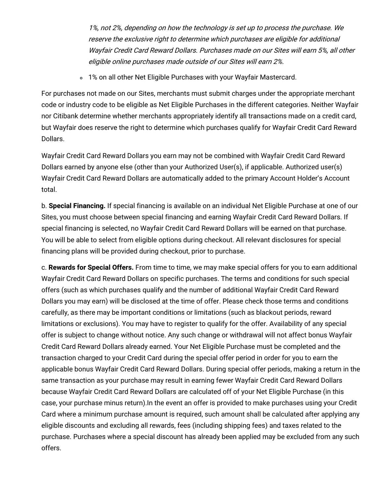1%, not 2%, depending on how the technology is set up to process the purchase. We reserve the exclusive right to determine which purchases are eligible for additional Wayfair Credit Card Reward Dollars. Purchases made on our Sites will earn 5%, all other eligible online purchases made outside of our Sites will earn 2%.

1% on all other Net Eligible Purchases with your Wayfair Mastercard.

For purchases not made on our Sites, merchants must submit charges under the appropriate merchant code or industry code to be eligible as Net Eligible Purchases in the different categories. Neither Wayfair nor Citibank determine whether merchants appropriately identify all transactions made on a credit card, but Wayfair does reserve the right to determine which purchases qualify for Wayfair Credit Card Reward Dollars.

Wayfair Credit Card Reward Dollars you earn may not be combined with Wayfair Credit Card Reward Dollars earned by anyone else (other than your Authorized User(s), if applicable. Authorized user(s) Wayfair Credit Card Reward Dollars are automatically added to the primary Account Holder's Account total.

b. **Special Financing.** If special financing is available on an individual Net Eligible Purchase at one of our Sites, you must choose between special financing and earning Wayfair Credit Card Reward Dollars. If special financing is selected, no Wayfair Credit Card Reward Dollars will be earned on that purchase. You will be able to select from eligible options during checkout. All relevant disclosures for special financing plans will be provided during checkout, prior to purchase.

c. **Rewards for Special Offers.** From time to time, we may make special offers for you to earn additional Wayfair Credit Card Reward Dollars on specific purchases. The terms and conditions for such special offers (such as which purchases qualify and the number of additional Wayfair Credit Card Reward Dollars you may earn) will be disclosed at the time of offer. Please check those terms and conditions carefully, as there may be important conditions or limitations (such as blackout periods, reward limitations or exclusions). You may have to register to qualify for the offer. Availability of any special offer is subject to change without notice. Any such change or withdrawal will not affect bonus Wayfair Credit Card Reward Dollars already earned. Your Net Eligible Purchase must be completed and the transaction charged to your Credit Card during the special offer period in order for you to earn the applicable bonus Wayfair Credit Card Reward Dollars. During special offer periods, making a return in the same transaction as your purchase may result in earning fewer Wayfair Credit Card Reward Dollars because Wayfair Credit Card Reward Dollars are calculated off of your Net Eligible Purchase (in this case, your purchase minus return).In the event an offer is provided to make purchases using your Credit Card where a minimum purchase amount is required, such amount shall be calculated after applying any eligible discounts and excluding all rewards, fees (including shipping fees) and taxes related to the purchase. Purchases where a special discount has already been applied may be excluded from any such offers.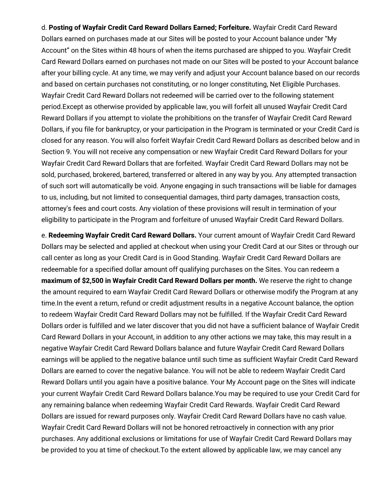d. **Posting of Wayfair Credit Card Reward Dollars Earned; Forfeiture.** Wayfair Credit Card Reward Dollars earned on purchases made at our Sites will be posted to your Account balance under "My Account" on the Sites within 48 hours of when the items purchased are shipped to you. Wayfair Credit Card Reward Dollars earned on purchases not made on our Sites will be posted to your Account balance after your billing cycle. At any time, we may verify and adjust your Account balance based on our records and based on certain purchases not constituting, or no longer constituting, Net Eligible Purchases. Wayfair Credit Card Reward Dollars not redeemed will be carried over to the following statement period.Except as otherwise provided by applicable law, you will forfeit all unused Wayfair Credit Card Reward Dollars if you attempt to violate the prohibitions on the transfer of Wayfair Credit Card Reward Dollars, if you file for bankruptcy, or your participation in the Program is terminated or your Credit Card is closed for any reason. You will also forfeit Wayfair Credit Card Reward Dollars as described below and in Section 9. You will not receive any compensation or new Wayfair Credit Card Reward Dollars for your Wayfair Credit Card Reward Dollars that are forfeited. Wayfair Credit Card Reward Dollars may not be sold, purchased, brokered, bartered, transferred or altered in any way by you. Any attempted transaction of such sort will automatically be void. Anyone engaging in such transactions will be liable for damages to us, including, but not limited to consequential damages, third party damages, transaction costs, attorney's fees and court costs. Any violation of these provisions will result in termination of your eligibility to participate in the Program and forfeiture of unused Wayfair Credit Card Reward Dollars.

e. **Redeeming Wayfair Credit Card Reward Dollars.** Your current amount of Wayfair Credit Card Reward Dollars may be selected and applied at checkout when using your Credit Card at our Sites or through our call center as long as your Credit Card is in Good Standing. Wayfair Credit Card Reward Dollars are redeemable for a specified dollar amount off qualifying purchases on the Sites. You can redeem a **maximum of \$2,500 in Wayfair Credit Card Reward Dollars per month.** We reserve the right to change the amount required to earn Wayfair Credit Card Reward Dollars or otherwise modify the Program at any time.In the event a return, refund or credit adjustment results in a negative Account balance, the option to redeem Wayfair Credit Card Reward Dollars may not be fulfilled. If the Wayfair Credit Card Reward Dollars order is fulfilled and we later discover that you did not have a sufficient balance of Wayfair Credit Card Reward Dollars in your Account, in addition to any other actions we may take, this may result in a negative Wayfair Credit Card Reward Dollars balance and future Wayfair Credit Card Reward Dollars earnings will be applied to the negative balance until such time as sufficient Wayfair Credit Card Reward Dollars are earned to cover the negative balance. You will not be able to redeem Wayfair Credit Card Reward Dollars until you again have a positive balance. Your My Account page on the Sites will indicate your current Wayfair Credit Card Reward Dollars balance.You may be required to use your Credit Card for any remaining balance when redeeming Wayfair Credit Card Rewards. Wayfair Credit Card Reward Dollars are issued for reward purposes only. Wayfair Credit Card Reward Dollars have no cash value. Wayfair Credit Card Reward Dollars will not be honored retroactively in connection with any prior purchases. Any additional exclusions or limitations for use of Wayfair Credit Card Reward Dollars may be provided to you at time of checkout.To the extent allowed by applicable law, we may cancel any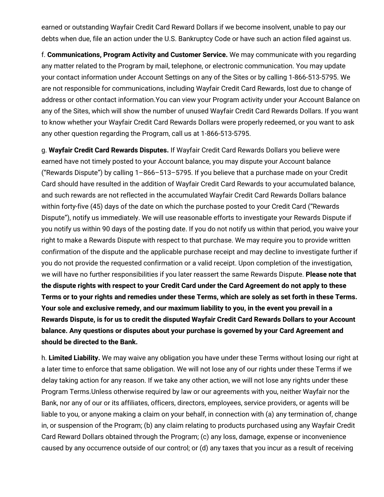earned or outstanding Wayfair Credit Card Reward Dollars if we become insolvent, unable to pay our debts when due, file an action under the U.S. Bankruptcy Code or have such an action filed against us.

f. **Communications, Program Activity and Customer Service.** We may communicate with you regarding any matter related to the Program by mail, telephone, or electronic communication. You may update your contact information under Account Settings on any of the Sites or by calling 1-866-513-5795. We are not responsible for communications, including Wayfair Credit Card Rewards, lost due to change of address or other contact information.You can view your Program activity under your Account Balance on any of the Sites, which will show the number of unused Wayfair Credit Card Rewards Dollars. If you want to know whether your Wayfair Credit Card Rewards Dollars were properly redeemed, or you want to ask any other question regarding the Program, call us at 1-866-513-5795.

g. **Wayfair Credit Card Rewards Disputes.** If Wayfair Credit Card Rewards Dollars you believe were earned have not timely posted to your Account balance, you may dispute your Account balance ("Rewards Dispute") by calling 1–866–513–5795. If you believe that a purchase made on your Credit Card should have resulted in the addition of Wayfair Credit Card Rewards to your accumulated balance, and such rewards are not reflected in the accumulated Wayfair Credit Card Rewards Dollars balance within forty-five (45) days of the date on which the purchase posted to your Credit Card ("Rewards Dispute"), notify us immediately. We will use reasonable efforts to investigate your Rewards Dispute if you notify us within 90 days of the posting date. If you do not notify us within that period, you waive your right to make a Rewards Dispute with respect to that purchase. We may require you to provide written confirmation of the dispute and the applicable purchase receipt and may decline to investigate further if you do not provide the requested confirmation or a valid receipt. Upon completion of the investigation, we will have no further responsibilities if you later reassert the same Rewards Dispute. **Please note that the dispute rights with respect to your Credit Card under the Card Agreement do not apply to these** Terms or to your rights and remedies under these Terms, which are solely as set forth in these Terms. **Your sole and exclusive remedy, and our maximum liability to you, in the event you prevail in a Rewards Dispute, is for us to credit the disputed Wayfair Credit Card Rewards Dollars to your Account balance. Any questions or disputes about your purchase is governed by your Card Agreement and should be directed to the Bank.**

h. **Limited Liability.** We may waive any obligation you have under these Terms without losing our right at a later time to enforce that same obligation. We will not lose any of our rights under these Terms if we delay taking action for any reason. If we take any other action, we will not lose any rights under these Program Terms.Unless otherwise required by law or our agreements with you, neither Wayfair nor the Bank, nor any of our or its affiliates, officers, directors, employees, service providers, or agents will be liable to you, or anyone making a claim on your behalf, in connection with (a) any termination of, change in, or suspension of the Program; (b) any claim relating to products purchased using any Wayfair Credit Card Reward Dollars obtained through the Program; (c) any loss, damage, expense or inconvenience caused by any occurrence outside of our control; or (d) any taxes that you incur as a result of receiving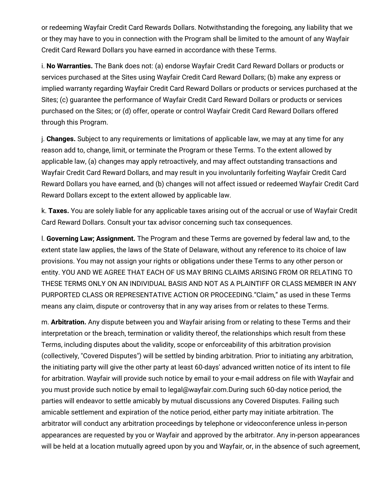or redeeming Wayfair Credit Card Rewards Dollars. Notwithstanding the foregoing, any liability that we or they may have to you in connection with the Program shall be limited to the amount of any Wayfair Credit Card Reward Dollars you have earned in accordance with these Terms.

i. **No Warranties.** The Bank does not: (a) endorse Wayfair Credit Card Reward Dollars or products or services purchased at the Sites using Wayfair Credit Card Reward Dollars; (b) make any express or implied warranty regarding Wayfair Credit Card Reward Dollars or products or services purchased at the Sites; (c) guarantee the performance of Wayfair Credit Card Reward Dollars or products or services purchased on the Sites; or (d) offer, operate or control Wayfair Credit Card Reward Dollars offered through this Program.

j. **Changes.** Subject to any requirements or limitations of applicable law, we may at any time for any reason add to, change, limit, or terminate the Program or these Terms. To the extent allowed by applicable law, (a) changes may apply retroactively, and may affect outstanding transactions and Wayfair Credit Card Reward Dollars, and may result in you involuntarily forfeiting Wayfair Credit Card Reward Dollars you have earned, and (b) changes will not affect issued or redeemed Wayfair Credit Card Reward Dollars except to the extent allowed by applicable law.

k. **Taxes.** You are solely liable for any applicable taxes arising out of the accrual or use of Wayfair Credit Card Reward Dollars. Consult your tax advisor concerning such tax consequences.

l. **Governing Law; Assignment.** The Program and these Terms are governed by federal law and, to the extent state law applies, the laws of the State of Delaware, without any reference to its choice of law provisions. You may not assign your rights or obligations under these Terms to any other person or entity. YOU AND WE AGREE THAT EACH OF US MAY BRING CLAIMS ARISING FROM OR RELATING TO THESE TERMS ONLY ON AN INDIVIDUAL BASIS AND NOT AS A PLAINTIFF OR CLASS MEMBER IN ANY PURPORTED CLASS OR REPRESENTATIVE ACTION OR PROCEEDING."Claim," as used in these Terms means any claim, dispute or controversy that in any way arises from or relates to these Terms.

m. **Arbitration.** Any dispute between you and Wayfair arising from or relating to these Terms and their interpretation or the breach, termination or validity thereof, the relationships which result from these Terms, including disputes about the validity, scope or enforceability of this arbitration provision (collectively, "Covered Disputes") will be settled by binding arbitration. Prior to initiating any arbitration, the initiating party will give the other party at least 60-days' advanced written notice of its intent to file for arbitration. Wayfair will provide such notice by email to your e-mail address on file with Wayfair and you must provide such notice by email to legal@wayfair.com.During such 60-day notice period, the parties will endeavor to settle amicably by mutual discussions any Covered Disputes. Failing such amicable settlement and expiration of the notice period, either party may initiate arbitration. The arbitrator will conduct any arbitration proceedings by telephone or videoconference unless in-person appearances are requested by you or Wayfair and approved by the arbitrator. Any in-person appearances will be held at a location mutually agreed upon by you and Wayfair, or, in the absence of such agreement,